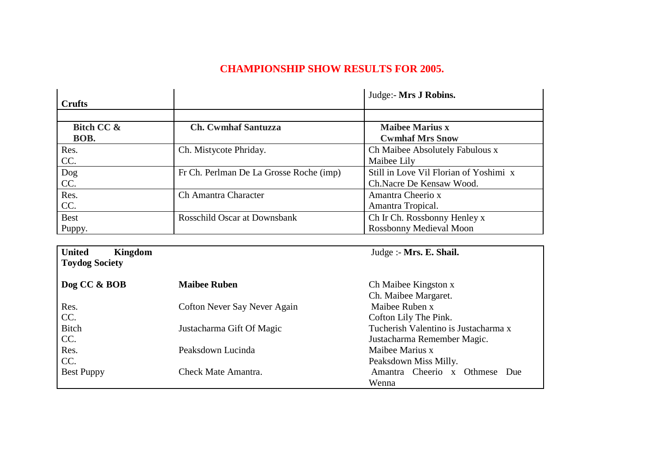## **CHAMPIONSHIP SHOW RESULTS FOR 2005.**

| <b>Crufts</b> |                                         | Judge:- Mrs J Robins.                  |
|---------------|-----------------------------------------|----------------------------------------|
|               |                                         |                                        |
| Bitch CC &    | <b>Ch. Cwmhaf Santuzza</b>              | <b>Maibee Marius x</b>                 |
| BOB.          |                                         | <b>Cwmhaf Mrs Snow</b>                 |
| Res.          | Ch. Mistycote Phriday.                  | Ch Maibee Absolutely Fabulous x        |
| CC.           |                                         | Maibee Lily                            |
| Dog           | Fr Ch. Perlman De La Grosse Roche (imp) | Still in Love Vil Florian of Yoshimi x |
| CC.           |                                         | Ch. Nacre De Kensaw Wood.              |
| Res.          | Ch Amantra Character                    | Amantra Cheerio x                      |
| CC.           |                                         | Amantra Tropical.                      |
| <b>Best</b>   | Rosschild Oscar at Downsbank            | Ch Ir Ch. Rossbonny Henley x           |
| Puppy.        |                                         | <b>Rossbonny Medieval Moon</b>         |

| <b>United</b><br>Kingdom<br><b>Toydog Society</b> |                              | Judge :- Mrs. E. Shail.              |
|---------------------------------------------------|------------------------------|--------------------------------------|
| Dog CC & BOB                                      | <b>Maibee Ruben</b>          | Ch Maibee Kingston x                 |
|                                                   |                              | Ch. Maibee Margaret.                 |
| Res.                                              | Cofton Never Say Never Again | Maibee Ruben x                       |
| CC.                                               |                              | Cofton Lily The Pink.                |
| <b>Bitch</b>                                      | Justacharma Gift Of Magic    | Tucherish Valentino is Justacharma x |
| CC.                                               |                              | Justacharma Remember Magic.          |
| Res.                                              | Peaksdown Lucinda            | Maibee Marius x                      |
| CC.                                               |                              | Peaksdown Miss Milly.                |
| <b>Best Puppy</b>                                 | Check Mate Amantra.          | Amantra Cheerio x Othmese Due        |
|                                                   |                              | Wenna                                |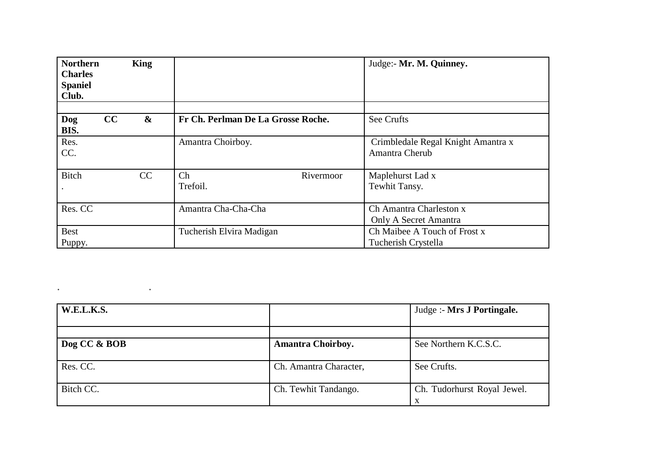| <b>Northern</b><br><b>Charles</b><br><b>Spaniel</b><br>Club. | <b>King</b>             |                                    | Judge:- Mr. M. Quinney.                                 |
|--------------------------------------------------------------|-------------------------|------------------------------------|---------------------------------------------------------|
| Dog<br>BIS.                                                  | CC<br>$\boldsymbol{\&}$ | Fr Ch. Perlman De La Grosse Roche. | See Crufts                                              |
| Res.<br>CC.                                                  |                         | Amantra Choirboy.                  | Crimbledale Regal Knight Amantra x<br>Amantra Cherub    |
| <b>Bitch</b>                                                 | CC                      | Ch<br>Rivermoor<br>Trefoil.        | Maplehurst Lad x<br>Tewhit Tansy.                       |
| Res. CC                                                      |                         | Amantra Cha-Cha-Cha                | Ch Amantra Charleston x<br><b>Only A Secret Amantra</b> |
| <b>Best</b><br>Puppy.                                        |                         | Tucherish Elvira Madigan           | Ch Maibee A Touch of Frost x<br>Tucherish Crystella     |

| <b>W.E.L.K.S.</b> |                          | Judge :- Mrs J Portingale.  |
|-------------------|--------------------------|-----------------------------|
|                   |                          |                             |
| Dog CC & BOB      | <b>Amantra Choirboy.</b> | See Northern K.C.S.C.       |
| Res. CC.          | Ch. Amantra Character,   | See Crufts.                 |
| Bitch CC.         | Ch. Tewhit Tandango.     | Ch. Tudorhurst Royal Jewel. |

. .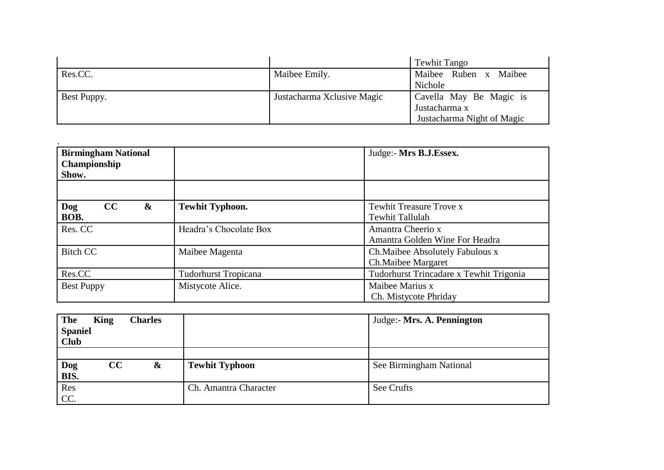|             |                            | <b>Tewhit Tango</b>        |
|-------------|----------------------------|----------------------------|
| Res.CC.     | Maibee Emily.              | Maibee Ruben x Maibee      |
|             |                            | Nichole                    |
| Best Puppy. | Justacharma Xclusive Magic | Cavella May Be Magic is    |
|             |                            | Justacharma x              |
|             |                            | Justacharma Night of Magic |

| <b>Birmingham National</b><br>Championship<br>Show. |                             | Judge:- Mrs B.J.Essex.                                 |
|-----------------------------------------------------|-----------------------------|--------------------------------------------------------|
|                                                     |                             |                                                        |
| CC<br>$\boldsymbol{\&}$<br>Dog<br>BOB.              | <b>Tewhit Typhoon.</b>      | <b>Tewhit Treasure Trove x</b><br>Tewhit Tallulah      |
| Res. CC                                             | Headra's Chocolate Box      | Amantra Cheerio x<br>Amantra Golden Wine For Headra    |
| <b>Bitch CC</b>                                     | Maibee Magenta              | Ch. Maibee Absolutely Fabulous x<br>Ch.Maibee Margaret |
| Res.CC                                              | <b>Tudorhurst Tropicana</b> | Tudorhurst Trincadare x Tewhit Trigonia                |
| <b>Best Puppy</b>                                   | Mistycote Alice.            | Maibee Marius x<br>Ch. Mistycote Phriday               |

| The<br><b>Spaniel</b><br><b>Club</b> | <b>King</b> | <b>Charles</b>    |                       | Judge:- Mrs. A. Pennington |
|--------------------------------------|-------------|-------------------|-----------------------|----------------------------|
| Dog<br>BIS.                          | cc          | $\boldsymbol{\&}$ | <b>Tewhit Typhoon</b> | See Birmingham National    |
| Res<br>CC.                           |             |                   | Ch. Amantra Character | See Crufts                 |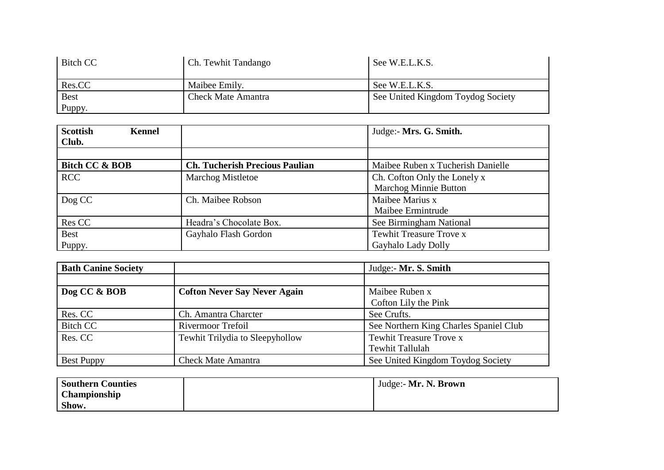| Bitch CC    | Ch. Tewhit Tandango | See W.E.L.K.S.                    |
|-------------|---------------------|-----------------------------------|
| Res.CC      | Maibee Emily.       | See W.E.L.K.S.                    |
| <b>Best</b> | Check Mate Amantra  | See United Kingdom Toydog Society |
| Puppy.      |                     |                                   |

| <b>Scottish</b><br><b>Kennel</b> |                                       | Judge:- Mrs. G. Smith.            |
|----------------------------------|---------------------------------------|-----------------------------------|
| Club.                            |                                       |                                   |
|                                  |                                       |                                   |
| Bitch CC & BOB                   | <b>Ch. Tucherish Precious Paulian</b> | Maibee Ruben x Tucherish Danielle |
| <b>RCC</b>                       | Marchog Mistletoe                     | Ch. Cofton Only the Lonely x      |
|                                  |                                       | <b>Marchog Minnie Button</b>      |
| Dog CC                           | Ch. Maibee Robson                     | Maibee Marius x                   |
|                                  |                                       | Maibee Ermintrude                 |
| Res CC                           | Headra's Chocolate Box.               | See Birmingham National           |
| <b>Best</b>                      | Gayhalo Flash Gordon                  | Tewhit Treasure Trove x           |
| Puppy.                           |                                       | Gayhalo Lady Dolly                |

| <b>Bath Canine Society</b> |                                     | Judge:- Mr. S. Smith                   |
|----------------------------|-------------------------------------|----------------------------------------|
|                            |                                     |                                        |
| Dog CC & BOB               | <b>Cofton Never Say Never Again</b> | Maibee Ruben x                         |
|                            |                                     | Cofton Lily the Pink                   |
| Res. CC                    | Ch. Amantra Charcter                | See Crufts.                            |
| Bitch CC                   | Rivermoor Trefoil                   | See Northern King Charles Spaniel Club |
| Res. CC                    | Tewhit Trilydia to Sleepyhollow     | <b>Tewhit Treasure Trove x</b>         |
|                            |                                     | Tewhit Tallulah                        |
| <b>Best Puppy</b>          | <b>Check Mate Amantra</b>           | See United Kingdom Toydog Society      |

| <b>Southern Counties</b> | Judge:- Mr. N. Brown |
|--------------------------|----------------------|
| <b>Championship</b>      |                      |
| Show.                    |                      |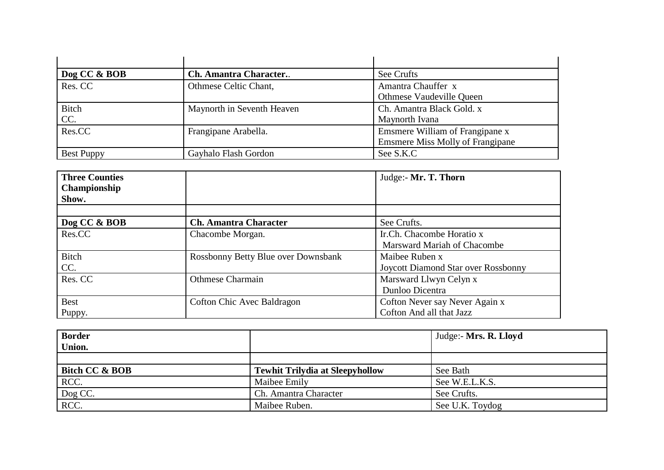| Dog CC & BOB      | <b>Ch. Amantra Character.</b> | See Crufts                              |
|-------------------|-------------------------------|-----------------------------------------|
| Res. CC           | Othmese Celtic Chant,         | Amantra Chauffer x                      |
|                   |                               | Othmese Vaudeville Queen                |
| <b>Bitch</b>      | Maynorth in Seventh Heaven    | Ch. Amantra Black Gold. x               |
| CC.               |                               | Maynorth Ivana                          |
| Res.CC            | Frangipane Arabella.          | Emsmere William of Frangipane x         |
|                   |                               | <b>Emsmere Miss Molly of Frangipane</b> |
| <b>Best Puppy</b> | Gayhalo Flash Gordon          | See S.K.C                               |

| <b>Three Counties</b> |                                     | Judge:- Mr. T. Thorn                       |
|-----------------------|-------------------------------------|--------------------------------------------|
| Championship          |                                     |                                            |
| Show.                 |                                     |                                            |
| Dog CC & BOB          | <b>Ch. Amantra Character</b>        | See Crufts.                                |
| Res.CC                | Chacombe Morgan.                    | Ir.Ch. Chacombe Horatio x                  |
|                       |                                     | <b>Marsward Mariah of Chacombe</b>         |
| <b>Bitch</b>          | Rossbonny Betty Blue over Downsbank | Maibee Ruben x                             |
| CC.                   |                                     | <b>Joycott Diamond Star over Rossbonny</b> |
| Res. CC               | <b>Othmese Charmain</b>             | Marsward Llwyn Celyn x                     |
|                       |                                     | Dunloo Dicentra                            |
| <b>Best</b>           | Cofton Chic Avec Baldragon          | Cofton Never say Never Again x             |
| Puppy.                |                                     | Cofton And all that Jazz                   |

| <b>Border</b><br>Union. |                                        | Judge:- Mrs. R. Lloyd |
|-------------------------|----------------------------------------|-----------------------|
|                         |                                        |                       |
| Bitch CC & BOB          | <b>Tewhit Trilydia at Sleepyhollow</b> | See Bath              |
| RCC.                    | Maibee Emily                           | See W.E.L.K.S.        |
| Dog CC.<br>RCC.         | Ch. Amantra Character                  | See Crufts.           |
|                         | Maibee Ruben.                          | See U.K. Toydog       |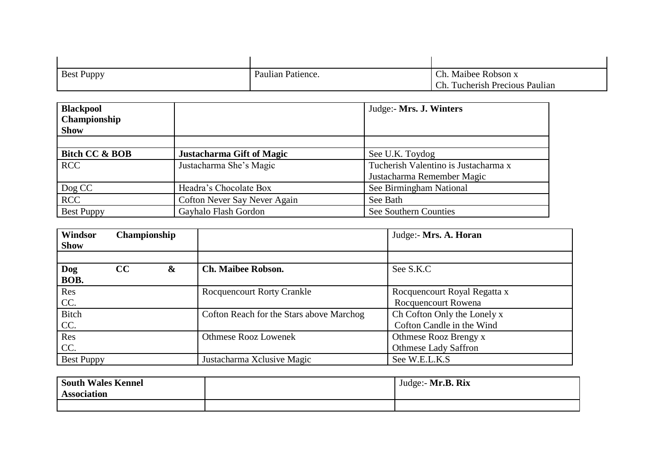| <b>Best Puppy</b> | Paulian Patience. | Ch. Maibee Robson x                 |
|-------------------|-------------------|-------------------------------------|
|                   |                   | . Tucherish Precious Paulian<br>Ch. |

| <b>Blackpool</b><br>Championship<br><b>Show</b> |                                  | Judge:- Mrs. J. Winters                                            |
|-------------------------------------------------|----------------------------------|--------------------------------------------------------------------|
| Bitch CC & BOB                                  | <b>Justacharma Gift of Magic</b> | See U.K. Toydog                                                    |
| <b>RCC</b>                                      | Justacharma She's Magic          | Tucherish Valentino is Justacharma x<br>Justacharma Remember Magic |
| Dog CC                                          | Headra's Chocolate Box           | See Birmingham National                                            |
| <b>RCC</b>                                      | Cofton Never Say Never Again     | See Bath                                                           |
| <b>Best Puppy</b>                               | Gayhalo Flash Gordon             | See Southern Counties                                              |

| <b>Windsor</b><br><b>Show</b> | Championship |                   |                                          | Judge:- Mrs. A. Horan                                    |
|-------------------------------|--------------|-------------------|------------------------------------------|----------------------------------------------------------|
|                               |              |                   |                                          |                                                          |
| Dog<br>BOB.                   | CC           | $\boldsymbol{\&}$ | <b>Ch. Maibee Robson.</b>                | See S.K.C                                                |
| Res<br>CC.                    |              |                   | <b>Rocquencourt Rorty Crankle</b>        | Rocquencourt Royal Regatta x<br>Rocquencourt Rowena      |
| <b>Bitch</b><br>CC.           |              |                   | Cofton Reach for the Stars above Marchog | Ch Cofton Only the Lonely x<br>Cofton Candle in the Wind |
| Res<br>CC.                    |              |                   | <b>Othmese Rooz Lowenek</b>              | Othmese Rooz Brengy x<br><b>Othmese Lady Saffron</b>     |
| <b>Best Puppy</b>             |              |                   | Justacharma Xclusive Magic               | See W.E.L.K.S                                            |

| <b>South Wales Kennel</b> | Judge:- Mr.B. Rix |
|---------------------------|-------------------|
| <b>Association</b>        |                   |
|                           |                   |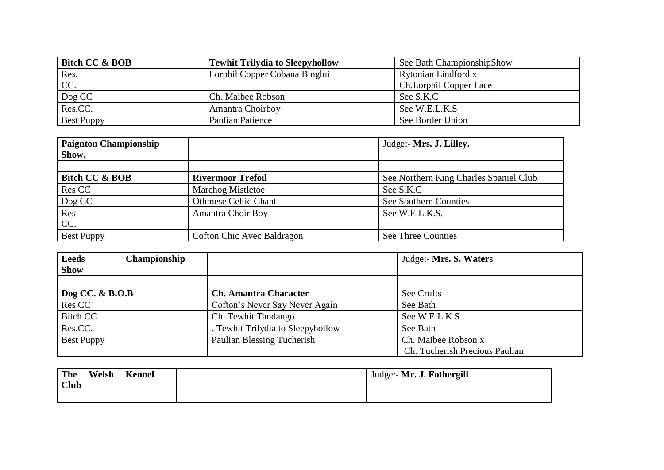| Bitch CC & BOB    | <b>Tewhit Trilydia to Sleepyhollow</b> | See Bath ChampionshipShow |
|-------------------|----------------------------------------|---------------------------|
| Res.              | Lorphil Copper Cobana Binglui          | Rytonian Lindford x       |
| CC.               |                                        | Ch.Lorphil Copper Lace    |
| Dog CC            | Ch. Maibee Robson                      | See S.K.C                 |
| Res.CC.           | <b>Amantra Choirboy</b>                | See W.E.L.K.S             |
| <b>Best Puppy</b> | Paulian Patience                       | See Border Union          |

| <b>Paignton Championship</b><br>Show, |                             | Judge:- Mrs. J. Lilley.                |
|---------------------------------------|-----------------------------|----------------------------------------|
|                                       |                             |                                        |
| Bitch CC & BOB                        | <b>Rivermoor Trefoil</b>    | See Northern King Charles Spaniel Club |
| Res CC                                | <b>Marchog Mistletoe</b>    | See S.K.C                              |
| Dog CC                                | <b>Othmese Celtic Chant</b> | See Southern Counties                  |
| Res                                   | <b>Amantra Choir Boy</b>    | See W.E.L.K.S.                         |
| CC.                                   |                             |                                        |
| <b>Best Puppy</b>                     | Cofton Chic Avec Baldragon  | See Three Counties                     |

| <b>Leeds</b><br>Championship<br><b>Show</b> |                                   | Judge:- Mrs. S. Waters         |
|---------------------------------------------|-----------------------------------|--------------------------------|
|                                             |                                   |                                |
| Dog CC. & B.O.B                             | <b>Ch. Amantra Character</b>      | See Crufts                     |
| Res CC                                      | Cofton's Never Say Never Again    | See Bath                       |
| <b>Bitch CC</b>                             | Ch. Tewhit Tandango               | See W.E.L.K.S                  |
| Res.CC.                                     | . Tewhit Trilydia to Sleepyhollow | See Bath                       |
| <b>Best Puppy</b>                           | Paulian Blessing Tucherish        | Ch. Maibee Robson x            |
|                                             |                                   | Ch. Tucherish Precious Paulian |

| <b>The</b><br><b>Club</b> | Welsh | <b>Kennel</b> | Judge:- Mr. J. Fothergill |
|---------------------------|-------|---------------|---------------------------|
|                           |       |               |                           |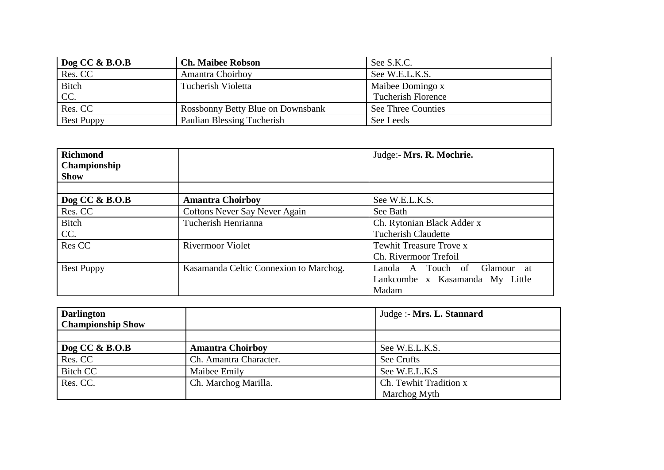| $\log CC \& B.O.B$ | <b>Ch. Maibee Robson</b>          | See S.K.C.                |
|--------------------|-----------------------------------|---------------------------|
| Res. CC            | Amantra Choirboy                  | See W.E.L.K.S.            |
| Bitch              | Tucherish Violetta                | Maibee Domingo x          |
| CC.                |                                   | <b>Tucherish Florence</b> |
| Res. CC            | Rossbonny Betty Blue on Downsbank | See Three Counties        |
| <b>Best Puppy</b>  | Paulian Blessing Tucherish        | See Leeds                 |

| <b>Richmond</b><br>Championship |                                        | Judge:- Mrs. R. Mochrie.        |
|---------------------------------|----------------------------------------|---------------------------------|
| <b>Show</b>                     |                                        |                                 |
|                                 |                                        |                                 |
| Dog CC & B.O.B                  | <b>Amantra Choirboy</b>                | See W.E.L.K.S.                  |
| Res. CC                         | <b>Coftons Never Say Never Again</b>   | See Bath                        |
| <b>Bitch</b>                    | Tucherish Henrianna                    | Ch. Rytonian Black Adder x      |
| CC.                             |                                        | <b>Tucherish Claudette</b>      |
| Res <sub>CC</sub>               | <b>Rivermoor Violet</b>                | <b>Tewhit Treasure Trove x</b>  |
|                                 |                                        | Ch. Rivermoor Trefoil           |
| <b>Best Puppy</b>               | Kasamanda Celtic Connexion to Marchog. | Lanola A Touch of<br>Glamour at |
|                                 |                                        | Lankcombe x Kasamanda My Little |
|                                 |                                        | Madam                           |

| <b>Darlington</b><br><b>Championship Show</b> |                         | Judge :- Mrs. L. Stannard |
|-----------------------------------------------|-------------------------|---------------------------|
|                                               |                         |                           |
| $\log CC \& B.O.B$                            | <b>Amantra Choirboy</b> | See W.E.L.K.S.            |
| Res. CC                                       | Ch. Amantra Character.  | See Crufts                |
| <b>Bitch CC</b>                               | Maibee Emily            | See W.E.L.K.S             |
| Res. CC.                                      | Ch. Marchog Marilla.    | Ch. Tewhit Tradition x    |
|                                               |                         | Marchog Myth              |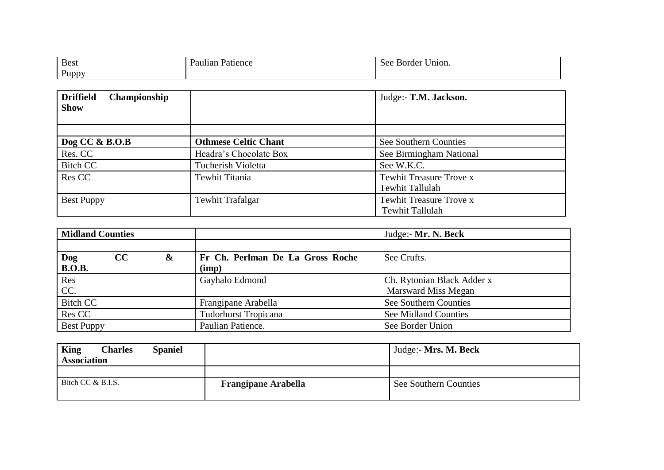| <b>Best</b> | $P_{a}$<br>1l12n<br>Patience | See.<br><b>Border</b><br>Union. |
|-------------|------------------------------|---------------------------------|
| Puppy       |                              |                                 |

| <b>Driffield</b><br>Championship |                             | Judge:- T.M. Jackson.          |
|----------------------------------|-----------------------------|--------------------------------|
| <b>Show</b>                      |                             |                                |
|                                  |                             |                                |
|                                  |                             |                                |
| Dog CC & B.O.B                   | <b>Othmese Celtic Chant</b> | See Southern Counties          |
| Res. CC                          | Headra's Chocolate Box      | See Birmingham National        |
| <b>Bitch CC</b>                  | Tucherish Violetta          | See W.K.C.                     |
| Res CC                           | Tewhit Titania              | <b>Tewhit Treasure Trove x</b> |
|                                  |                             | Tewhit Tallulah                |
| <b>Best Puppy</b>                | <b>Tewhit Trafalgar</b>     | <b>Tewhit Treasure Trove x</b> |
|                                  |                             | Tewhit Tallulah                |

| <b>Midland Counties</b>            |                                  | Judge:- Mr. N. Beck        |
|------------------------------------|----------------------------------|----------------------------|
|                                    |                                  |                            |
| CC<br>$\boldsymbol{\alpha}$<br>Dog | Fr Ch. Perlman De La Gross Roche | See Crufts.                |
| <b>B.O.B.</b>                      | (imp)                            |                            |
| Res                                | Gayhalo Edmond                   | Ch. Rytonian Black Adder x |
| CC.                                |                                  | <b>Marsward Miss Megan</b> |
| <b>Bitch CC</b>                    | Frangipane Arabella              | See Southern Counties      |
| Res CC                             | <b>Tudorhurst Tropicana</b>      | See Midland Counties       |
| <b>Best Puppy</b>                  | Paulian Patience.                | See Border Union           |

| <b>Spaniel</b><br><b>Charles</b><br>King<br><b>Association</b> |                            | Judge:- Mrs. M. Beck  |
|----------------------------------------------------------------|----------------------------|-----------------------|
|                                                                |                            |                       |
| Bitch CC & B.I.S.                                              | <b>Frangipane Arabella</b> | See Southern Counties |